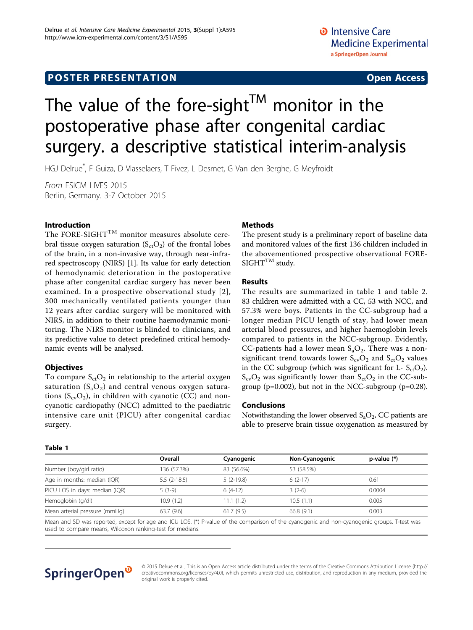### **POSTER PRESENTATION CONSUMING ACCESS**

# The value of the fore-sight<sup>TM</sup> monitor in the postoperative phase after congenital cardiac surgery. a descriptive statistical interim-analysis

HGJ Delrue\* , F Guiza, D Vlasselaers, T Fivez, L Desmet, G Van den Berghe, G Meyfroidt

From ESICM LIVES 2015 Berlin, Germany. 3-7 October 2015

#### Introduction

The FORE-SIGHT<sup>TM</sup> monitor measures absolute cerebral tissue oxygen saturation  $(S_{ct}O_2)$  of the frontal lobes of the brain, in a non-invasive way, through near-infrared spectroscopy (NIRS) [[1\]](#page-1-0). Its value for early detection of hemodynamic deterioration in the postoperative phase after congenital cardiac surgery has never been examined. In a prospective observational study [2], 300 mechanically ventilated patients younger than 12 years after cardiac surgery will be monitored with NIRS, in addition to their routine haemodynamic monitoring. The NIRS monitor is blinded to clinicians, and its predictive value to detect predefined critical hemodynamic events will be analysed.

#### **Objectives**

To compare  $S_{ct}O_2$  in relationship to the arterial oxygen saturation  $(S_aO_2)$  and central venous oxygen saturations  $(S_{cv}O_2)$ , in children with cyanotic (CC) and noncyanotic cardiopathy (NCC) admitted to the paediatric intensive care unit (PICU) after congenital cardiac surgery.

#### Methods

The present study is a preliminary report of baseline data and monitored values of the first 136 children included in the abovementioned prospective observational FORE- $SIGHT^{TM}$  study.

#### **Results**

The results are summarized in table 1 and table [2](#page-1-0). 83 children were admitted with a CC, 53 with NCC, and 57.3% were boys. Patients in the CC-subgroup had a longer median PICU length of stay, had lower mean arterial blood pressures, and higher haemoglobin levels compared to patients in the NCC-subgroup. Evidently, CC-patients had a lower mean  $S_aO_2$ . There was a nonsignificant trend towards lower  $S_{\rm cv}O_2$  and  $S_{\rm ct}O_2$  values in the CC subgroup (which was significant for  $L - S_{ct}O_2$ ).  $S_{\rm cv}O_2$  was significantly lower than  $S_{\rm ct}O_2$  in the CC-subgroup ( $p=0.002$ ), but not in the NCC-subgroup ( $p=0.28$ ).

#### Conclusions

Notwithstanding the lower observed  $S_aO_2$ , CC patients are able to preserve brain tissue oxygenation as measured by

#### Table 1

|                                | Overall       | Cyanogenic  | Non-Cyanogenic | $p-value (*)$ |
|--------------------------------|---------------|-------------|----------------|---------------|
| Number (boy/girl ratio)        | 136 (57.3%)   | 83 (56.6%)  | 53 (58.5%)     |               |
| Age in months: median (IQR)    | $5.5(2-18.5)$ | $5(2-19.8)$ | $6(2-17)$      | 0.61          |
| PICU LOS in days: median (IQR) | $5(3-9)$      | $6(4-12)$   | $3(2-6)$       | 0.0004        |
| Hemoglobin (g/dl)              | 10.9(1.2)     | 11.1 (1.2)  | 10.5(1.1)      | 0.005         |
| Mean arterial pressure (mmHg)  | 63.7(9.6)     | 61.7(9.5)   | 66.8(9.1)      | 0.003         |

Mean and SD was reported, except for age and ICU LOS. (\*) P-value of the comparison of the cyanogenic and non-cyanogenic groups. T-test was used to compare means, Wilcoxon ranking-test for medians.

## SpringerOpen<sup>®</sup>

© 2015 Delrue et al.; This is an Open Access article distributed under the terms of the Creative Commons Attribution License [\(http://](http://creativecommons.org/licenses/by/4.0) [creativecommons.org/licenses/by/4.0](http://creativecommons.org/licenses/by/4.0)), which permits unrestricted use, distribution, and reproduction in any medium, provided the original work is properly cited.